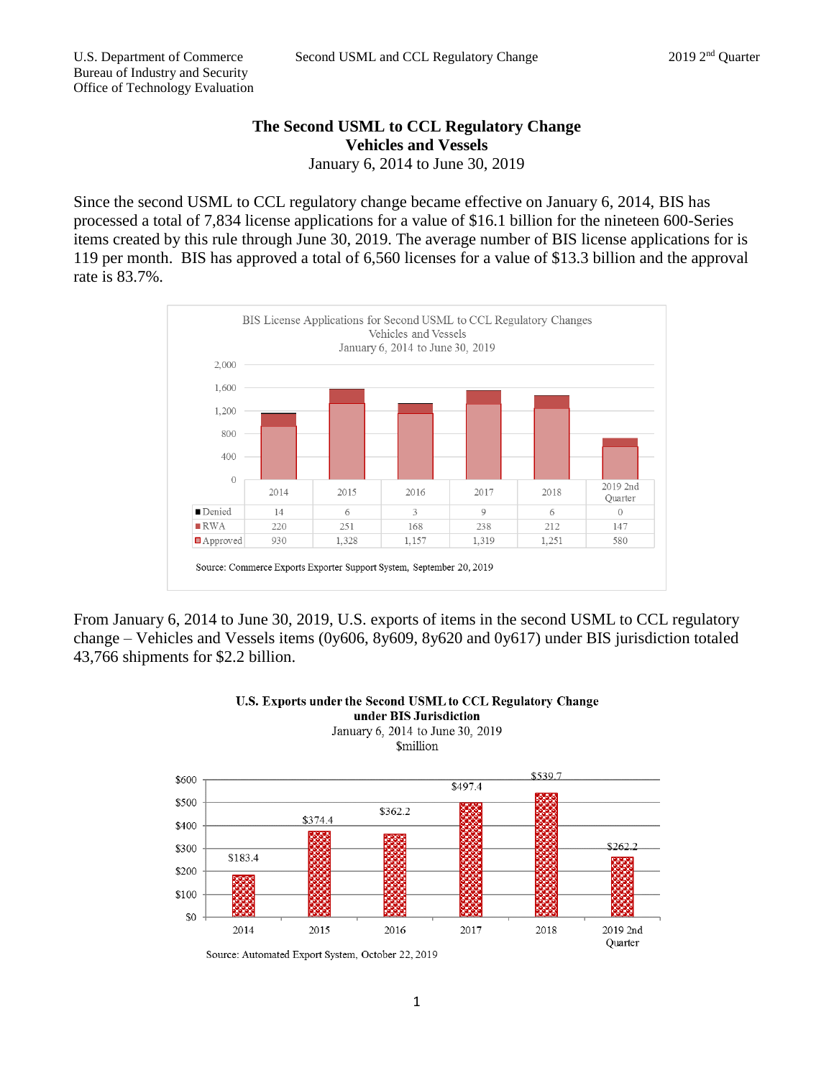## **The Second USML to CCL Regulatory Change Vehicles and Vessels** January 6, 2014 to June 30, 2019

Since the second USML to CCL regulatory change became effective on January 6, 2014, BIS has processed a total of 7,834 license applications for a value of \$16.1 billion for the nineteen 600-Series items created by this rule through June 30, 2019. The average number of BIS license applications for is 119 per month. BIS has approved a total of 6,560 licenses for a value of \$13.3 billion and the approval rate is 83.7%.



From January 6, 2014 to June 30, 2019, U.S. exports of items in the second USML to CCL regulatory change – Vehicles and Vessels items (0y606, 8y609, 8y620 and 0y617) under BIS jurisdiction totaled 43,766 shipments for \$2.2 billion.



## U.S. Exports under the Second USML to CCL Regulatory Change under BIS Jurisdiction January 6, 2014 to June 30, 2019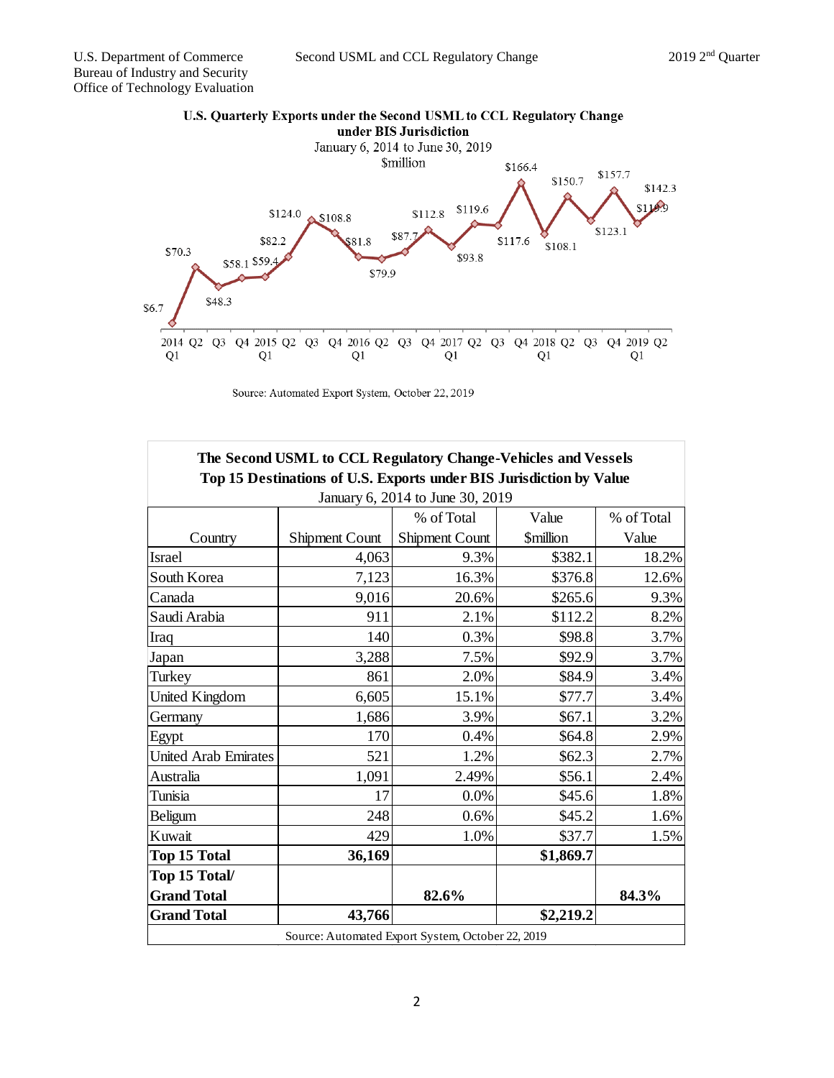

Source: Automated Export System, October 22, 2019

|                             | The Second USML to CCL Regulatory Change-Vehicles and Vessels       |                                  |                 |            |
|-----------------------------|---------------------------------------------------------------------|----------------------------------|-----------------|------------|
|                             | Top 15 Destinations of U.S. Exports under BIS Jurisdiction by Value |                                  |                 |            |
|                             |                                                                     | January 6, 2014 to June 30, 2019 |                 |            |
|                             |                                                                     | % of Total                       | Value           | % of Total |
| Country                     | <b>Shipment Count</b>                                               | Shipment Count                   | <b>Smillion</b> | Value      |
| <b>Israel</b>               | 4,063                                                               | 9.3%                             | \$382.1         | 18.2%      |
| South Korea                 | 7,123                                                               | 16.3%                            | \$376.8         | 12.6%      |
| Canada                      | 9,016                                                               | 20.6%                            | \$265.6         | 9.3%       |
| Saudi Arabia                | 911                                                                 | 2.1%                             | \$112.2         | 8.2%       |
| Iraq                        | 140                                                                 | 0.3%                             | \$98.8          | 3.7%       |
| Japan                       | 3,288                                                               | 7.5%                             | \$92.9          | 3.7%       |
| Turkey                      | 861                                                                 | 2.0%                             | \$84.9          | 3.4%       |
| <b>United Kingdom</b>       | 6,605                                                               | 15.1%                            | \$77.7          | 3.4%       |
| Germany                     | 1,686                                                               | 3.9%                             | \$67.1          | 3.2%       |
| Egypt                       | 170                                                                 | 0.4%                             | \$64.8          | 2.9%       |
| <b>United Arab Emirates</b> | 521                                                                 | 1.2%                             | \$62.3          | 2.7%       |
| Australia                   | 1,091                                                               | 2.49%                            | \$56.1          | 2.4%       |
| Tunisia                     | 17                                                                  | 0.0%                             | \$45.6          | 1.8%       |
| Beligum                     | 248                                                                 | 0.6%                             | \$45.2          | 1.6%       |
| Kuwait                      | 429                                                                 | 1.0%                             | \$37.7          | 1.5%       |
| Top 15 Total                | 36,169                                                              |                                  | \$1,869.7       |            |
| Top 15 Total/               |                                                                     |                                  |                 |            |
| <b>Grand Total</b>          |                                                                     | 82.6%                            |                 | 84.3%      |
| <b>Grand Total</b>          | 43,766                                                              |                                  | \$2,219.2       |            |

## U.S. Quarterly Exports under the Second USML to CCL Regulatory Change